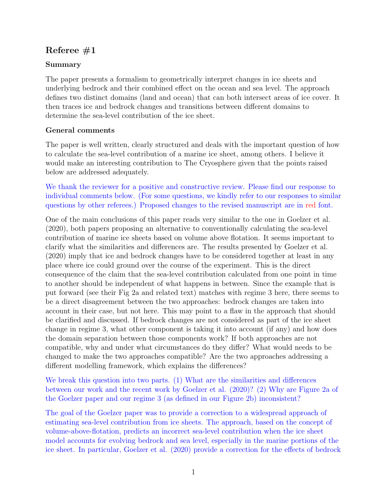# Referee  $#1$

## Summary

The paper presents a formalism to geometrically interpret changes in ice sheets and underlying bedrock and their combined effect on the ocean and sea level. The approach defines two distinct domains (land and ocean) that can both intersect areas of ice cover. It then traces ice and bedrock changes and transitions between different domains to determine the sea-level contribution of the ice sheet.

## General comments

The paper is well written, clearly structured and deals with the important question of how to calculate the sea-level contribution of a marine ice sheet, among others. I believe it would make an interesting contribution to The Cryosphere given that the points raised below are addressed adequately.

We thank the reviewer for a positive and constructive review. Please find our response to individual comments below. (For some questions, we kindly refer to our responses to similar questions by other referees.) Proposed changes to the revised manuscript are in red font.

One of the main conclusions of this paper reads very similar to the one in Goelzer et al. (2020), both papers proposing an alternative to conventionally calculating the sea-level contribution of marine ice sheets based on volume above flotation. It seems important to clarify what the similarities and differences are. The results presented by Goelzer et al. (2020) imply that ice and bedrock changes have to be considered together at least in any place where ice could ground over the course of the experiment. This is the direct consequence of the claim that the sea-level contribution calculated from one point in time to another should be independent of what happens in between. Since the example that is put forward (see their Fig 2a and related text) matches with regime 3 here, there seems to be a direct disagreement between the two approaches: bedrock changes are taken into account in their case, but not here. This may point to a flaw in the approach that should be clarified and discussed. If bedrock changes are not considered as part of the ice sheet change in regime 3, what other component is taking it into account (if any) and how does the domain separation between those components work? If both approaches are not compatible, why and under what circumstances do they differ? What would needs to be changed to make the two approaches compatible? Are the two approaches addressing a different modelling framework, which explains the differences?

We break this question into two parts. (1) What are the similarities and differences between our work and the recent work by Goelzer et al. (2020)? (2) Why are Figure 2a of the Goelzer paper and our regime 3 (as defined in our Figure 2b) inconsistent?

The goal of the Goelzer paper was to provide a correction to a widespread approach of estimating sea-level contribution from ice sheets. The approach, based on the concept of volume-above-flotation, predicts an incorrect sea-level contribution when the ice sheet model accounts for evolving bedrock and sea level, especially in the marine portions of the ice sheet. In particular, Goelzer et al. (2020) provide a correction for the effects of bedrock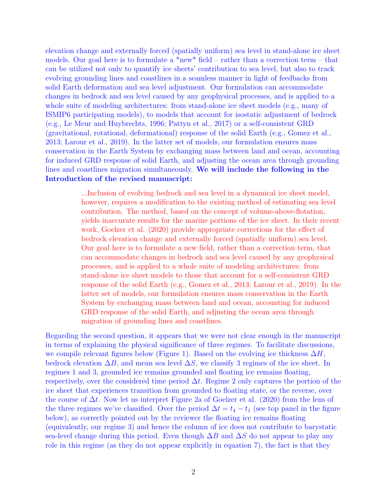elevation change and externally forced (spatially uniform) sea level in stand-alone ice sheet models. Our goal here is to formulate a  $*$ new $*$  field – rather than a correction term – that can be utilized not only to quantify ice sheets' contribution to sea level, but also to track evolving grounding lines and coastlines in a seamless manner in light of feedbacks from solid Earth deformation and sea level adjustment. Our formulation can accommodate changes in bedrock and sea level caused by any geophysical processes, and is applied to a whole suite of modeling architectures: from stand-alone ice sheet models (e.g., many of ISMIP6 participating models), to models that account for isostatic adjustment of bedrock (e.g., Le Meur and Huybrechts, 1996; Pattyn et al., 2017) or a self-consistent GRD (gravitational, rotational, deformational) response of the solid Earth (e.g., Gomez et al., 2013; Larour et al., 2019). In the latter set of models, our formulation ensures mass conservation in the Earth System by exchanging mass between land and ocean, accounting for induced GRD response of solid Earth, and adjusting the ocean area through grounding lines and coastlines migration simultaneously. We will include the following in the Introduction of the revised manuscript:

> ...Inclusion of evolving bedrock and sea level in a dynamical ice sheet model, however, requires a modification to the existing method of estimating sea level contribution. The method, based on the concept of volume-above-flotation, yields inaccurate results for the marine portions of the ice sheet. In their recent work, Goelzer et al. (2020) provide appropriate corrections for the effect of bedrock elevation change and externally forced (spatially uniform) sea level. Our goal here is to formulate a new field, rather than a correction term, that can accommodate changes in bedrock and sea level caused by any geophysical processes, and is applied to a whole suite of modeling architectures: from stand-alone ice sheet models to those that account for a self-consistent GRD response of the solid Earth (e.g., Gomez et al., 2013; Larour et al., 2019). In the latter set of models, our formulation ensures mass conservation in the Earth System by exchanging mass between land and ocean, accounting for induced GRD response of the solid Earth, and adjusting the ocean area through migration of grounding lines and coastlines.

Regarding the second question, it appears that we were not clear enough in the manuscript in terms of explaining the physical significance of three regimes. To facilitate discussions, we compile relevant figures below (Figure 1). Based on the evolving ice thickness  $\Delta H$ , bedrock elevation  $\Delta B$ , and mean sea level  $\Delta S$ , we classify 3 regimes of the ice sheet. In regimes 1 and 3, grounded ice remains grounded and floating ice remains floating, respectively, over the considered time period  $\Delta t$ . Regime 2 only captures the portion of the ice sheet that experiences transition from grounded to floating state, or the reverse, over the course of  $\Delta t$ . Now let us interpret Figure 2a of Goelzer et al. (2020) from the lens of the three regimes we've classified. Over the period  $\Delta t = t_4 - t_1$  (see top panel in the figure below), as correctly pointed out by the reviewer the floating ice remains floating (equivalently, our regime 3) and hence the column of ice does not contribute to barystatic sea-level change during this period. Even though  $\Delta B$  and  $\Delta S$  do not appear to play any role in this regime (as they do not appear explicitly in equation 7), the fact is that they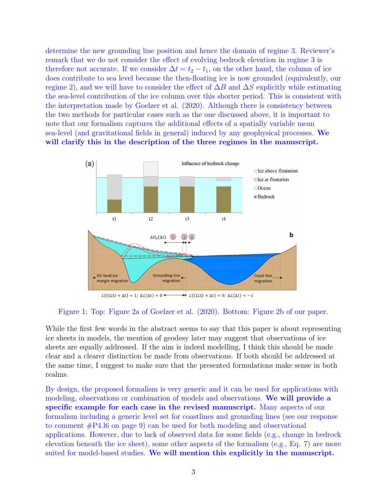determine the new grounding line position and hence the domain of regime 3. Reviewer's remark that we do not consider the effect of evolving bedrock elevation in regime 3 is therefore not accurate. If we consider  $\Delta t = t_2 - t_1$ , on the other hand, the column of ice does contribute to sea level because the then-floating ice is now grounded (equivalently, our regime 2), and we will have to consider the effect of  $\Delta B$  and  $\Delta S$  explicitly while estimating the sea-level contribution of the ice column over this shorter period. This is consistent with the interpretation made by Goelzer et al. (2020). Although there is consistency between the two methods for particular cases such as the one discussed above, it is important to note that our formalism captures the additional effects of a spatially variable mean sea-level (and gravitational fields in general) induced by any geophysical processes. We will clarify this in the description of the three regimes in the manuscript.



Figure 1: Top: Figure 2a of Goelzer et al. (2020). Bottom: Figure 2b of our paper.

While the first few words in the abstract seems to say that this paper is about representing ice sheets in models, the mention of geodesy later may suggest that observations of ice sheets are equally addressed. If the aim is indeed modelling, I think this should be made clear and a clearer distinction be made from observations. If both should be addressed at the same time, I suggest to make sure that the presented formulations make sense in both realms.

By design, the proposed formalism is very generic and it can be used for applications with modeling, observations or combination of models and observations. We will provide a specific example for each case in the revised manuscript. Many aspects of our formalism including a generic level set for coastlines and grounding lines (see our response to comment #P4.l6 on page 9) can be used for both modeling and observational applications. However, due to lack of observed data for some fields (e.g., change in bedrock elevation beneath the ice sheet), some other aspects of the formalism (e.g., Eq. 7) are more suited for model-based studies. We will mention this explicitly in the manuscript.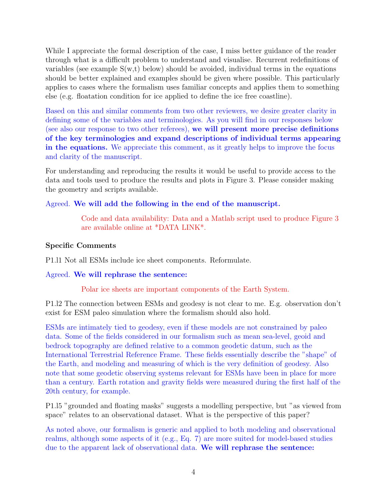While I appreciate the formal description of the case, I miss better guidance of the reader through what is a difficult problem to understand and visualise. Recurrent redefinitions of variables (see example  $S(w,t)$  below) should be avoided, individual terms in the equations should be better explained and examples should be given where possible. This particularly applies to cases where the formalism uses familiar concepts and applies them to something else (e.g. floatation condition for ice applied to define the ice free coastline).

Based on this and similar comments from two other reviewers, we desire greater clarity in defining some of the variables and terminologies. As you will find in our responses below (see also our response to two other referees), we will present more precise definitions of the key terminologies and expand descriptions of individual terms appearing in the equations. We appreciate this comment, as it greatly helps to improve the focus and clarity of the manuscript.

For understanding and reproducing the results it would be useful to provide access to the data and tools used to produce the results and plots in Figure 3. Please consider making the geometry and scripts available.

## Agreed. We will add the following in the end of the manuscript.

Code and data availability: Data and a Matlab script used to produce Figure 3 are available online at \*DATA LINK\*.

## Specific Comments

P1.l1 Not all ESMs include ice sheet components. Reformulate.

## Agreed. We will rephrase the sentence:

Polar ice sheets are important components of the Earth System.

P1.l2 The connection between ESMs and geodesy is not clear to me. E.g. observation don't exist for ESM paleo simulation where the formalism should also hold.

ESMs are intimately tied to geodesy, even if these models are not constrained by paleo data. Some of the fields considered in our formalism such as mean sea-level, geoid and bedrock topography are defined relative to a common geodetic datum, such as the International Terrestrial Reference Frame. These fields essentially describe the "shape" of the Earth, and modeling and measuring of which is the very definition of geodesy. Also note that some geodetic observing systems relevant for ESMs have been in place for more than a century. Earth rotation and gravity fields were measured during the first half of the 20th century, for example.

P1.l5 "grounded and floating masks" suggests a modelling perspective, but "as viewed from space" relates to an observational dataset. What is the perspective of this paper?

As noted above, our formalism is generic and applied to both modeling and observational realms, although some aspects of it (e.g., Eq. 7) are more suited for model-based studies due to the apparent lack of observational data. We will rephrase the sentence: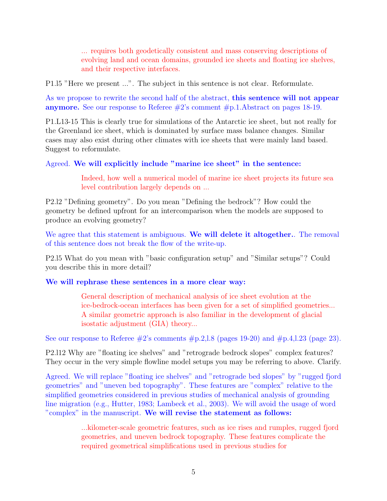... requires both geodetically consistent and mass conserving descriptions of evolving land and ocean domains, grounded ice sheets and floating ice shelves, and their respective interfaces.

P1.l5 "Here we present ...". The subject in this sentence is not clear. Reformulate.

As we propose to rewrite the second half of the abstract, **this sentence will not appear anymore.** See our response to Referee  $#2$ 's comment  $#p.1$ . Abstract on pages 18-19.

P1.L13-15 This is clearly true for simulations of the Antarctic ice sheet, but not really for the Greenland ice sheet, which is dominated by surface mass balance changes. Similar cases may also exist during other climates with ice sheets that were mainly land based. Suggest to reformulate.

### Agreed. We will explicitly include "marine ice sheet" in the sentence:

Indeed, how well a numerical model of marine ice sheet projects its future sea level contribution largely depends on ...

P2.l2 "Defining geometry". Do you mean "Defining the bedrock"? How could the geometry be defined upfront for an intercomparison when the models are supposed to produce an evolving geometry?

We agree that this statement is ambiguous. We will delete it altogether. The removal of this sentence does not break the flow of the write-up.

P2.l5 What do you mean with "basic configuration setup" and "Similar setups"? Could you describe this in more detail?

We will rephrase these sentences in a more clear way:

General description of mechanical analysis of ice sheet evolution at the ice-bedrock-ocean interfaces has been given for a set of simplified geometries... A similar geometric approach is also familiar in the development of glacial isostatic adjustment (GIA) theory...

See our response to Referee  $\#2$ 's comments  $\#p.2,1.8$  (pages 19-20) and  $\#p.4,1.23$  (page 23).

P2.l12 Why are "floating ice shelves" and "retrograde bedrock slopes" complex features? They occur in the very simple flowline model setups you may be referring to above. Clarify.

Agreed. We will replace "floating ice shelves" and "retrograde bed slopes" by "rugged fjord geometries" and "uneven bed topography". These features are "complex" relative to the simplified geometries considered in previous studies of mechanical analysis of grounding line migration (e.g., Hutter, 1983; Lambeck et al., 2003). We will avoid the usage of word "complex" in the manuscript. We will revise the statement as follows:

> ...kilometer-scale geometric features, such as ice rises and rumples, rugged fjord geometries, and uneven bedrock topography. These features complicate the required geometrical simplifications used in previous studies for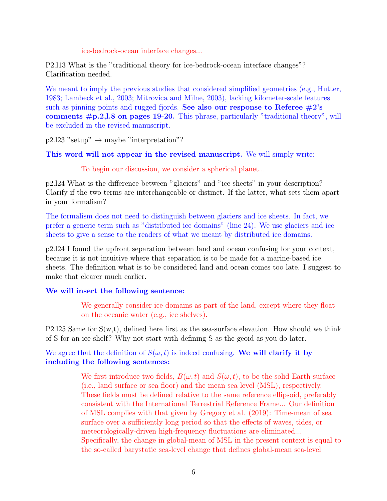ice-bedrock-ocean interface changes...

P2.l13 What is the "traditional theory for ice-bedrock-ocean interface changes"? Clarification needed.

We meant to imply the previous studies that considered simplified geometries (e.g., Hutter, 1983; Lambeck et al., 2003; Mitrovica and Milne, 2003), lacking kilometer-scale features such as pinning points and rugged fjords. See also our response to Referee  $\#2$ 's comments #p.2,l.8 on pages 19-20. This phrase, particularly "traditional theory", will be excluded in the revised manuscript.

 $p2.123$  "setup"  $\rightarrow$  maybe "interpretation"?

This word will not appear in the revised manuscript. We will simply write:

To begin our discussion, we consider a spherical planet...

p2.l24 What is the difference between "glaciers" and "ice sheets" in your description? Clarify if the two terms are interchangeable or distinct. If the latter, what sets them apart in your formalism?

The formalism does not need to distinguish between glaciers and ice sheets. In fact, we prefer a generic term such as "distributed ice domains" (line 24). We use glaciers and ice sheets to give a sense to the readers of what we meant by distributed ice domains.

p2.l24 I found the upfront separation between land and ocean confusing for your context, because it is not intuitive where that separation is to be made for a marine-based ice sheets. The definition what is to be considered land and ocean comes too late. I suggest to make that clearer much earlier.

### We will insert the following sentence:

We generally consider ice domains as part of the land, except where they float on the oceanic water (e.g., ice shelves).

P2.125 Same for  $S(w,t)$ , defined here first as the sea-surface elevation. How should we think of S for an ice shelf? Why not start with defining S as the geoid as you do later.

We agree that the definition of  $S(\omega, t)$  is indeed confusing. We will clarify it by including the following sentences:

> We first introduce two fields,  $B(\omega, t)$  and  $S(\omega, t)$ , to be the solid Earth surface (i.e., land surface or sea floor) and the mean sea level (MSL), respectively. These fields must be defined relative to the same reference ellipsoid, preferably consistent with the International Terrestrial Reference Frame... Our definition of MSL complies with that given by Gregory et al. (2019): Time-mean of sea surface over a sufficiently long period so that the effects of waves, tides, or meteorologically-driven high-frequency fluctuations are eliminated... Specifically, the change in global-mean of MSL in the present context is equal to the so-called barystatic sea-level change that defines global-mean sea-level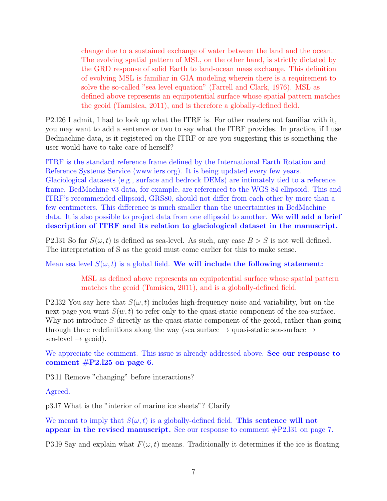change due to a sustained exchange of water between the land and the ocean. The evolving spatial pattern of MSL, on the other hand, is strictly dictated by the GRD response of solid Earth to land-ocean mass exchange. This definition of evolving MSL is familiar in GIA modeling wherein there is a requirement to solve the so-called "sea level equation" (Farrell and Clark, 1976). MSL as defined above represents an equipotential surface whose spatial pattern matches the geoid (Tamisiea, 2011), and is therefore a globally-defined field.

P2.l26 I admit, I had to look up what the ITRF is. For other readers not familiar with it, you may want to add a sentence or two to say what the ITRF provides. In practice, if I use Bedmachine data, is it registered on the ITRF or are you suggesting this is something the user would have to take care of herself?

ITRF is the standard reference frame defined by the International Earth Rotation and Reference Systems Service (www.iers.org). It is being updated every few years. Glaciological datasets (e.g., surface and bedrock DEMs) are intimately tied to a reference frame. BedMachine v3 data, for example, are referenced to the WGS 84 ellipsoid. This and ITRF's recommended ellipsoid, GRS80, should not differ from each other by more than a few centimeters. This difference is much smaller than the uncertainties in BedMachine data. It is also possible to project data from one ellipsoid to another. We will add a brief description of ITRF and its relation to glaciological dataset in the manuscript.

P2.131 So far  $S(\omega, t)$  is defined as sea-level. As such, any case  $B > S$  is not well defined. The interpretation of S as the geoid must come earlier for this to make sense.

Mean sea level  $S(\omega, t)$  is a global field. We will include the following statement:

MSL as defined above represents an equipotential surface whose spatial pattern matches the geoid (Tamisiea, 2011), and is a globally-defined field.

P2.132 You say here that  $S(\omega, t)$  includes high-frequency noise and variability, but on the next page you want  $S(w, t)$  to refer only to the quasi-static component of the sea-surface. Why not introduce  $S$  directly as the quasi-static component of the geoid, rather than going through three redefinitions along the way (sea surface  $\rightarrow$  quasi-static sea-surface  $\rightarrow$  $sea$ -level  $\rightarrow$  geoid).

We appreciate the comment. This issue is already addressed above. See our response to comment  $\text{\#P2.125}$  on page 6.

P3.l1 Remove "changing" before interactions?

Agreed.

p3.l7 What is the "interior of marine ice sheets"? Clarify

We meant to imply that  $S(\omega, t)$  is a globally-defined field. This sentence will not appear in the revised manuscript. See our response to comment  $\#P2.131$  on page 7.

P3.19 Say and explain what  $F(\omega, t)$  means. Traditionally it determines if the ice is floating.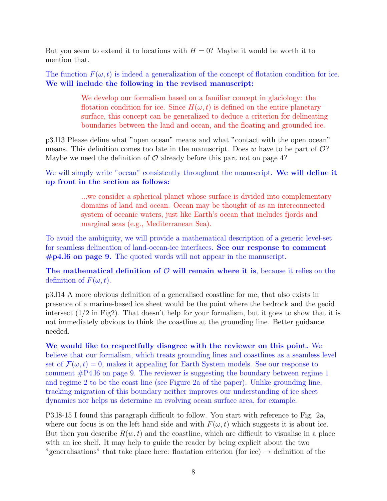But you seem to extend it to locations with  $H = 0$ ? Maybe it would be worth it to mention that.

The function  $F(\omega, t)$  is indeed a generalization of the concept of flotation condition for ice. We will include the following in the revised manuscript:

> We develop our formalism based on a familiar concept in glaciology: the flotation condition for ice. Since  $H(\omega, t)$  is defined on the entire planetary surface, this concept can be generalized to deduce a criterion for delineating boundaries between the land and ocean, and the floating and grounded ice.

p3.l13 Please define what "open ocean" means and what "contact with the open ocean" means. This definition comes too late in the manuscript. Does  $w$  have to be part of  $\mathcal{O}$ ? Maybe we need the definition of  $\mathcal O$  already before this part not on page 4?

We will simply write "ocean" consistently throughout the manuscript. We will define it up front in the section as follows:

> ...we consider a spherical planet whose surface is divided into complementary domains of land and ocean. Ocean may be thought of as an interconnected system of oceanic waters, just like Earth's ocean that includes fjords and marginal seas (e.g., Mediterranean Sea).

To avoid the ambiguity, we will provide a mathematical description of a generic level-set for seamless delineation of land-ocean-ice interfaces. See our response to comment  $#p4.16$  on page 9. The quoted words will not appear in the manuscript.

The mathematical definition of  $\mathcal O$  will remain where it is, because it relies on the definition of  $F(\omega, t)$ .

p3.l14 A more obvious definition of a generalised coastline for me, that also exists in presence of a marine-based ice sheet would be the point where the bedrock and the geoid intersect  $(1/2$  in Fig2). That doesn't help for your formalism, but it goes to show that it is not immediately obvious to think the coastline at the grounding line. Better guidance needed.

We would like to respectfully disagree with the reviewer on this point. We believe that our formalism, which treats grounding lines and coastlines as a seamless level set of  $\mathcal{F}(\omega, t) = 0$ , makes it appealing for Earth System models. See our response to comment #P4.l6 on page 9. The reviewer is suggesting the boundary between regime 1 and regime 2 to be the coast line (see Figure 2a of the paper). Unlike grounding line, tracking migration of this boundary neither improves our understanding of ice sheet dynamics nor helps us determine an evolving ocean surface area, for example.

P3.l8-15 I found this paragraph difficult to follow. You start with reference to Fig. 2a, where our focus is on the left hand side and with  $F(\omega, t)$  which suggests it is about ice. But then you describe  $R(w, t)$  and the coastline, which are difficult to visualise in a place with an ice shelf. It may help to guide the reader by being explicit about the two "generalisations" that take place here: floatation criterion (for ice)  $\rightarrow$  definition of the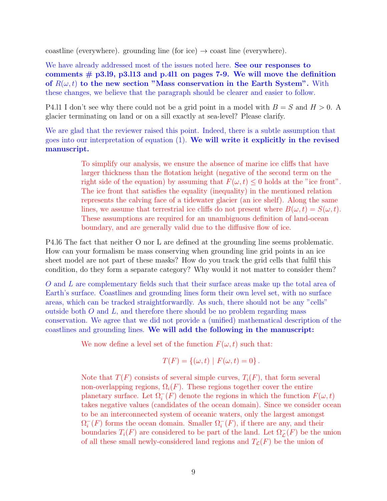coastline (everywhere). grounding line (for ice)  $\rightarrow$  coast line (everywhere).

We have already addressed most of the issues noted here. See our responses to comments  $#$  p3.19, p3.113 and p.411 on pages 7-9. We will move the definition of  $R(\omega, t)$  to the new section "Mass conservation in the Earth System". With these changes, we believe that the paragraph should be clearer and easier to follow.

P4.11 I don't see why there could not be a grid point in a model with  $B = S$  and  $H > 0$ . glacier terminating on land or on a sill exactly at sea-level? Please clarify.

We are glad that the reviewer raised this point. Indeed, there is a subtle assumption that goes into our interpretation of equation  $(1)$ . We will write it explicitly in the revised manuscript.

> To simplify our analysis, we ensure the absence of marine ice cliffs that have larger thickness than the flotation height (negative of the second term on the right side of the equation) by assuming that  $F(\omega, t) \leq 0$  holds at the "ice front". The ice front that satisfies the equality (inequality) in the mentioned relation represents the calving face of a tidewater glacier (an ice shelf). Along the same lines, we assume that terrestrial ice cliffs do not present where  $B(\omega, t) = S(\omega, t)$ . These assumptions are required for an unambiguous definition of land-ocean boundary, and are generally valid due to the diffusive flow of ice.

P4.l6 The fact that neither O nor L are defined at the grounding line seems problematic. How can your formalism be mass conserving when grounding line grid points in an ice sheet model are not part of these masks? How do you track the grid cells that fulfil this condition, do they form a separate category? Why would it not matter to consider them?

O and L are complementary fields such that their surface areas make up the total area of Earth's surface. Coastlines and grounding lines form their own level set, with no surface areas, which can be tracked straightforwardly. As such, there should not be any "cells" outside both  $O$  and  $L$ , and therefore there should be no problem regarding mass conservation. We agree that we did not provide a (unified) mathematical description of the coastlines and grounding lines. We will add the following in the manuscript:

We now define a level set of the function  $F(\omega, t)$  such that:

$$
T(F) = \{(\omega, t) \mid F(\omega, t) = 0\}.
$$

Note that  $T(F)$  consists of several simple curves,  $T_i(F)$ , that form several non-overlapping regions,  $\Omega_i(F)$ . These regions together cover the entire planetary surface. Let  $\Omega_i^-(F)$  denote the regions in which the function  $F(\omega, t)$ takes negative values (candidates of the ocean domain). Since we consider ocean to be an interconnected system of oceanic waters, only the largest amongst  $\Omega_i^+$  $\bar{i}(F)$  forms the ocean domain. Smaller  $\Omega_i^-(F)$ , if there are any, and their boundaries  $T_i(F)$  are considered to be part of the land. Let  $\Omega_{\mathcal{L}}^+(F)$  be the union of all these small newly-considered land regions and  $T_{\mathcal{L}}(F)$  be the union of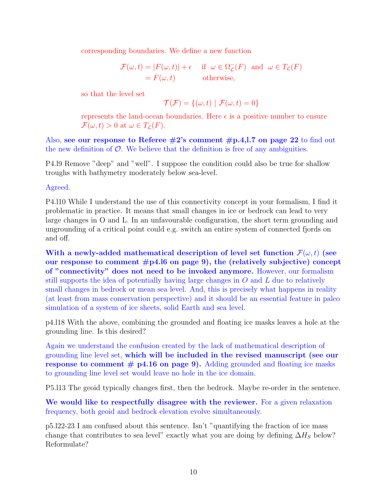corresponding boundaries. We define a new function

$$
\mathcal{F}(\omega, t) = |F(\omega, t)| + \epsilon \quad \text{if } \omega \in \Omega_{\mathcal{L}}^{-}(F) \text{ and } \omega \in T_{\mathcal{L}}(F)
$$
  
= F(\omega, t) otherwise,

so that the level set

$$
\mathcal{T}(\mathcal{F}) = \{(\omega, t) \mid \mathcal{F}(\omega, t) = 0\}
$$

represents the land-ocean boundaries. Here  $\epsilon$  is a positive number to ensure  $\mathcal{F}(\omega, t) > 0$  at  $\omega \in T_{\mathcal{L}}(F)$ .

Also, see our response to Referee  $\#2$ 's comment  $\#p.4,1.7$  on page 22 to find out the new definition of  $\mathcal{O}$ . We believe that the definition is free of any ambiguities.

P4.l9 Remove "deep" and "well". I suppose the condition could also be true for shallow troughs with bathymetry moderately below sea-level.

Agreed.

P4.l10 While I understand the use of this connectivity concept in your formalism, I find it problematic in practice. It means that small changes in ice or bedrock can lead to very large changes in O and L. In an unfavourable configuration, the short term grounding and ungrounding of a critical point could e.g. switch an entire system of connected fjords on and off.

With a newly-added mathematical description of level set function  $\mathcal{F}(\omega, t)$  (see our response to comment  $\#p4.16$  on page 9), the (relatively subjective) concept of "connectivity" does not need to be invoked anymore. However, our formalism still supports the idea of potentially having large changes in  $O$  and  $L$  due to relatively small changes in bedrock or mean sea level. And, this is precisely what happens in reality (at least from mass conservation perspective) and it should be an essential feature in paleo simulation of a system of ice sheets, solid Earth and sea level.

p4.l18 With the above, combining the grounded and floating ice masks leaves a hole at the grounding line. Is this desired?

Again we understand the confusion created by the lack of mathematical description of grounding line level set, which will be included in the revised manuscript (see our response to comment  $#$  p4.16 on page 9). Adding grounded and floating ice masks to grounding line level set would leave no hole in the ice domain.

P5.l13 The geoid typically changes first, then the bedrock. Maybe re-order in the sentence.

We would like to respectfully disagree with the reviewer. For a given relaxation frequency, both geoid and bedrock elevation evolve simultaneously.

p5.l22-23 I am confused about this sentence. Isn't "quantifying the fraction of ice mass change that contributes to sea level" exactly what you are doing by defining  $\Delta H_S$  below? Reformulate?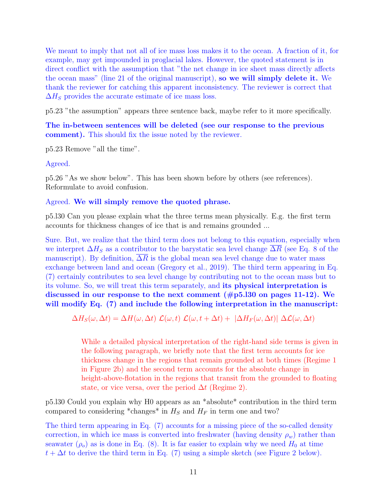We meant to imply that not all of ice mass loss makes it to the ocean. A fraction of it, for example, may get impounded in proglacial lakes. However, the quoted statement is in direct conflict with the assumption that "the net change in ice sheet mass directly affects the ocean mass" (line 21 of the original manuscript), so we will simply delete it. We thank the reviewer for catching this apparent inconsistency. The reviewer is correct that  $\Delta H_S$  provides the accurate estimate of ice mass loss.

p5.23 "the assumption" appears three sentence back, maybe refer to it more specifically.

The in-between sentences will be deleted (see our response to the previous comment). This should fix the issue noted by the reviewer.

p5.23 Remove "all the time".

Agreed.

p5.26 "As we show below". This has been shown before by others (see references). Reformulate to avoid confusion.

#### Agreed. We will simply remove the quoted phrase.

p5.l30 Can you please explain what the three terms mean physically. E.g. the first term accounts for thickness changes of ice that is and remains grounded ...

Sure. But, we realize that the third term does not belong to this equation, especially when we interpret  $\Delta H_S$  as a contributor to the barystatic sea level change  $\Delta R$  (see Eq. 8 of the manuscript). By definition,  $\Delta R$  is the global mean sea level change due to water mass exchange between land and ocean (Gregory et al., 2019). The third term appearing in Eq. (7) certainly contributes to sea level change by contributing not to the ocean mass but to its volume. So, we will treat this term separately, and its physical interpretation is discussed in our response to the next comment  $(\text{\#p5.130 on pages 11-12}).$  We will modify Eq. (7) and include the following interpretation in the manuscript:

 $\Delta H_S(\omega, \Delta t) = \Delta H(\omega, \Delta t) \mathcal{L}(\omega, t) \mathcal{L}(\omega, t + \Delta t) + |\Delta H_F(\omega, \Delta t)| \Delta \mathcal{L}(\omega, \Delta t)$ 

While a detailed physical interpretation of the right-hand side terms is given in the following paragraph, we briefly note that the first term accounts for ice thickness change in the regions that remain grounded at both times (Regime 1 in Figure 2b) and the second term accounts for the absolute change in height-above-flotation in the regions that transit from the grounded to floating state, or vice versa, over the period  $\Delta t$  (Regime 2).

p5.l30 Could you explain why H0 appears as an \*absolute\* contribution in the third term compared to considering \*changes\* in  $H_S$  and  $H_F$  in term one and two?

The third term appearing in Eq. (7) accounts for a missing piece of the so-called density correction, in which ice mass is converted into freshwater (having density  $\rho_w$ ) rather than seawater  $(\rho_o)$  as is done in Eq. (8). It is far easier to explain why we need  $H_0$  at time  $t + \Delta t$  to derive the third term in Eq. (7) using a simple sketch (see Figure 2 below).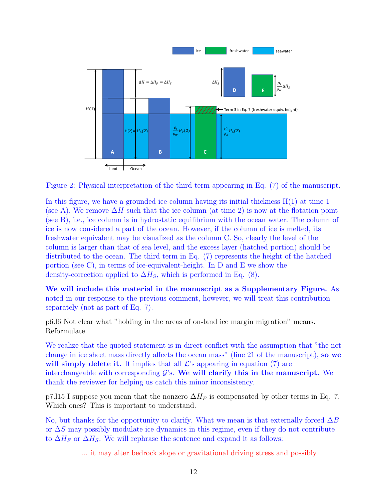

Figure 2: Physical interpretation of the third term appearing in Eq. (7) of the manuscript.

In this figure, we have a grounded ice column having its initial thickness  $H(1)$  at time 1 (see A). We remove  $\Delta H$  such that the ice column (at time 2) is now at the flotation point (see B), i.e., ice column is in hydrostatic equilibrium with the ocean water. The column of ice is now considered a part of the ocean. However, if the column of ice is melted, its freshwater equivalent may be visualized as the column C. So, clearly the level of the column is larger than that of sea level, and the excess layer (hatched portion) should be distributed to the ocean. The third term in Eq. (7) represents the height of the hatched portion (see C), in terms of ice-equivalent-height. In D and E we show the density-correction applied to  $\Delta H_S$ , which is performed in Eq. (8).

We will include this material in the manuscript as a Supplementary Figure. As noted in our response to the previous comment, however, we will treat this contribution separately (not as part of Eq. 7).

p6.l6 Not clear what "holding in the areas of on-land ice margin migration" means. Reformulate.

We realize that the quoted statement is in direct conflict with the assumption that "the net change in ice sheet mass directly affects the ocean mass" (line 21 of the manuscript), so we will simply delete it. It implies that all  $\mathcal{L}$ 's appearing in equation (7) are interchangeable with corresponding  $\mathcal{G}'s$ . We will clarify this in the manuscript. We thank the reviewer for helping us catch this minor inconsistency.

p7.115 I suppose you mean that the nonzero  $\Delta H_F$  is compensated by other terms in Eq. 7. Which ones? This is important to understand.

No, but thanks for the opportunity to clarify. What we mean is that externally forced  $\Delta B$ or ∆S may possibly modulate ice dynamics in this regime, even if they do not contribute to  $\Delta H_F$  or  $\Delta H_S$ . We will rephrase the sentence and expand it as follows:

... it may alter bedrock slope or gravitational driving stress and possibly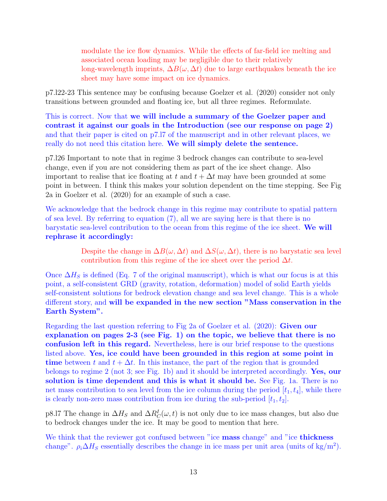modulate the ice flow dynamics. While the effects of far-field ice melting and associated ocean loading may be negligible due to their relatively long-wavelength imprints,  $\Delta B(\omega, \Delta t)$  due to large earthquakes beneath the ice sheet may have some impact on ice dynamics.

p7.l22-23 This sentence may be confusing because Goelzer et al. (2020) consider not only transitions between grounded and floating ice, but all three regimes. Reformulate.

This is correct. Now that we will include a summary of the Goelzer paper and contrast it against our goals in the Introduction (see our response on page 2) and that their paper is cited on p7.l7 of the manuscript and in other relevant places, we really do not need this citation here. We will simply delete the sentence.

p7.l26 Important to note that in regime 3 bedrock changes can contribute to sea-level change, even if you are not considering them as part of the ice sheet change. Also important to realise that ice floating at t and  $t + \Delta t$  may have been grounded at some point in between. I think this makes your solution dependent on the time stepping. See Fig 2a in Goelzer et al. (2020) for an example of such a case.

We acknowledge that the bedrock change in this regime may contribute to spatial pattern of sea level. By referring to equation (7), all we are saying here is that there is no barystatic sea-level contribution to the ocean from this regime of the ice sheet. We will rephrase it accordingly:

> Despite the change in  $\Delta B(\omega, \Delta t)$  and  $\Delta S(\omega, \Delta t)$ , there is no barystatic sea level contribution from this regime of the ice sheet over the period  $\Delta t$ .

Once  $\Delta H_S$  is defined (Eq. 7 of the original manuscript), which is what our focus is at this point, a self-consistent GRD (gravity, rotation, deformation) model of solid Earth yields self-consistent solutions for bedrock elevation change and sea level change. This is a whole different story, and will be expanded in the new section "Mass conservation in the Earth System".

Regarding the last question referring to Fig 2a of Goelzer et al. (2020): Given our explanation on pages 2-3 (see Fig. 1) on the topic, we believe that there is no confusion left in this regard. Nevertheless, here is our brief response to the questions listed above. Yes, ice could have been grounded in this region at some point in time between t and  $t + \Delta t$ . In this instance, the part of the region that is grounded belongs to regime 2 (not 3; see Fig. 1b) and it should be interpreted accordingly. Yes, our solution is time dependent and this is what it should be. See Fig. 1a. There is no net mass contribution to sea level from the ice column during the period  $[t_1, t_4]$ , while there is clearly non-zero mass contribution from ice during the sub-period  $[t_1, t_2]$ .

p8.l7 The change in  $\Delta H_S$  and  $\Delta R_C^I(\omega, t)$  is not only due to ice mass changes, but also due to bedrock changes under the ice. It may be good to mention that here.

We think that the reviewer got confused between "ice mass change" and "ice thickness" change".  $\rho_i \Delta H_S$  essentially describes the change in ice mass per unit area (units of kg/m<sup>2</sup>).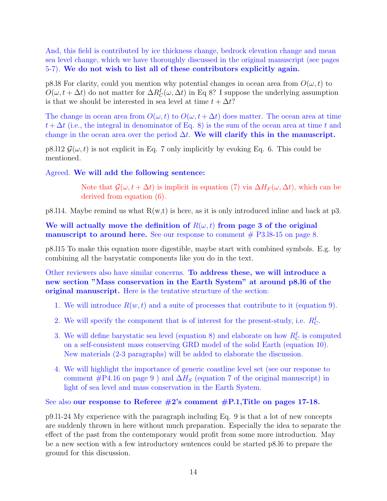And, this field is contributed by ice thickness change, bedrock elevation change and mean sea level change, which we have thoroughly discussed in the original manuscript (see pages 5-7). We do not wish to list all of these contributors explicitly again.

p8.18 For clarity, could you mention why potential changes in ocean area from  $O(\omega, t)$  to  $O(\omega, t + \Delta t)$  do not matter for  $\Delta R_C^I(\omega, \Delta t)$  in Eq 8? I suppose the underlying assumption is that we should be interested in sea level at time  $t + \Delta t$ ?

The change in ocean area from  $O(\omega, t)$  to  $O(\omega, t + \Delta t)$  does matter. The ocean area at time  $t + \Delta t$  (i.e., the integral in denominator of Eq. 8) is the sum of the ocean area at time t and change in the ocean area over the period  $\Delta t$ . We will clarify this in the manuscript.

p8.l12  $\mathcal{G}(\omega, t)$  is not explicit in Eq. 7 only implicitly by evoking Eq. 6. This could be mentioned.

### Agreed. We will add the following sentence:

Note that  $\mathcal{G}(\omega, t + \Delta t)$  is implicit in equation (7) via  $\Delta H_F(\omega, \Delta t)$ , which can be derived from equation (6).

p8.114. Maybe remind us what  $R(w,t)$  is here, as it is only introduced inline and back at p3.

We will actually move the definition of  $R(\omega, t)$  from page 3 of the original **manuscript to around here.** See our response to comment  $#$  P3.18-15 on page 8.

p8.l15 To make this equation more digestible, maybe start with combined symbols. E.g. by combining all the barystatic components like you do in the text.

Other reviewers also have similar concerns. To address these, we will introduce a new section "Mass conservation in the Earth System" at around p8.l6 of the original manuscript. Here is the tentative structure of the section:

- 1. We will introduce  $R(w, t)$  and a suite of processes that contribute to it (equation 9).
- 2. We will specify the component that is of interest for the present-study, i.e.  $R_C^I$ .
- 3. We will define barystatic sea level (equation 8) and elaborate on how  $R_C^I$  is computed on a self-consistent mass conserving GRD model of the solid Earth (equation 10). New materials (2-3 paragraphs) will be added to elaborate the discussion.
- 4. We will highlight the importance of generic coastline level set (see our response to comment  $#P4.16$  on page 9) and  $\Delta H_S$  (equation 7 of the original manuscript) in light of sea level and mass conservation in the Earth System.

### See also our response to Referee  $\#2$ 's comment  $\#P.1$ , Title on pages 17-18.

p9.l1-24 My experience with the paragraph including Eq. 9 is that a lot of new concepts are suddenly thrown in here without much preparation. Especially the idea to separate the effect of the past from the contemporary would profit from some more introduction. May be a new section with a few introductory sentences could be started p8.l6 to prepare the ground for this discussion.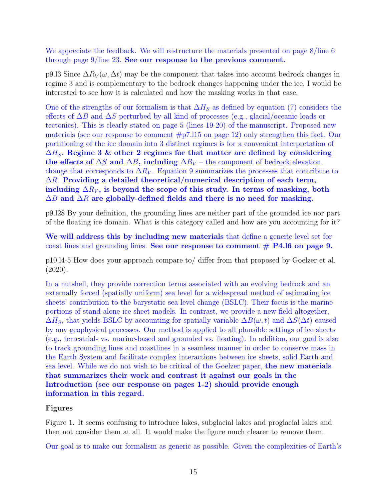We appreciate the feedback. We will restructure the materials presented on page 8/line 6 through page 9/line 23. See our response to the previous comment.

p9.l3 Since  $\Delta R_V(\omega, \Delta t)$  may be the component that takes into account bedrock changes in regime 3 and is complementary to the bedrock changes happening under the ice, I would be interested to see how it is calculated and how the masking works in that case.

One of the strengths of our formalism is that  $\Delta H_S$  as defined by equation (7) considers the effects of  $\Delta B$  and  $\Delta S$  perturbed by all kind of processes (e.g., glacial/oceanic loads or tectonics). This is clearly stated on page 5 (lines 19-20) of the manuscript. Proposed new materials (see our response to comment  $\#p7.115$  on page 12) only strengthen this fact. Our partitioning of the ice domain into 3 distinct regimes is for a convenient interpretation of  $\Delta H_S$ . Regime 3 & other 2 regimes for that matter are defined by considering the effects of  $\Delta S$  and  $\Delta B$ , including  $\Delta B_V$  – the component of bedrock elevation change that corresponds to  $\Delta R_V$ . Equation 9 summarizes the processes that contribute to  $\Delta R$ . Providing a detailed theoretical/numerical description of each term, including  $\Delta R_V$ , is beyond the scope of this study. In terms of masking, both  $\Delta B$  and  $\Delta R$  are globally-defined fields and there is no need for masking.

p9.l28 By your definition, the grounding lines are neither part of the grounded ice nor part of the floating ice domain. What is this category called and how are you accounting for it?

We will address this by including new materials that define a generic level set for coast lines and grounding lines. See our response to comment  $# P4.16$  on page 9.

p10.l4-5 How does your approach compare to/ differ from that proposed by Goelzer et al. (2020).

In a nutshell, they provide correction terms associated with an evolving bedrock and an externally forced (spatially uniform) sea level for a widespread method of estimating ice sheets' contribution to the barystatic sea level change (BSLC). Their focus is the marine portions of stand-alone ice sheet models. In contrast, we provide a new field altogether,  $\Delta H_S$ , that yields BSLC by accounting for spatially variable  $\Delta B(\omega, t)$  and  $\Delta S(\Delta t)$  caused by any geophysical processes. Our method is applied to all plausible settings of ice sheets (e.g., terrestrial- vs. marine-based and grounded vs. floating). In addition, our goal is also to track grounding lines and coastlines in a seamless manner in order to conserve mass in the Earth System and facilitate complex interactions between ice sheets, solid Earth and sea level. While we do not wish to be critical of the Goelzer paper, the new materials that summarizes their work and contrast it against our goals in the Introduction (see our response on pages 1-2) should provide enough information in this regard.

## Figures

Figure 1. It seems confusing to introduce lakes, subglacial lakes and proglacial lakes and then not consider them at all. It would make the figure much clearer to remove them.

Our goal is to make our formalism as generic as possible. Given the complexities of Earth's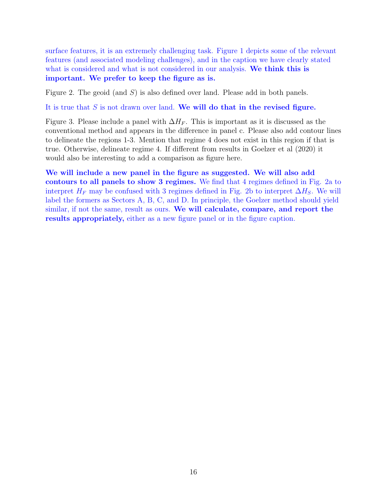surface features, it is an extremely challenging task. Figure 1 depicts some of the relevant features (and associated modeling challenges), and in the caption we have clearly stated what is considered and what is not considered in our analysis. We think this is important. We prefer to keep the figure as is.

Figure 2. The geoid (and  $S$ ) is also defined over land. Please add in both panels.

It is true that  $S$  is not drawn over land. We will do that in the revised figure.

Figure 3. Please include a panel with  $\Delta H_F$ . This is important as it is discussed as the conventional method and appears in the difference in panel c. Please also add contour lines to delineate the regions 1-3. Mention that regime 4 does not exist in this region if that is true. Otherwise, delineate regime 4. If different from results in Goelzer et al (2020) it would also be interesting to add a comparison as figure here.

We will include a new panel in the figure as suggested. We will also add contours to all panels to show 3 regimes. We find that 4 regimes defined in Fig. 2a to interpret  $H_F$  may be confused with 3 regimes defined in Fig. 2b to interpret  $\Delta H_S$ . We will label the formers as Sectors A, B, C, and D. In principle, the Goelzer method should yield similar, if not the same, result as ours. We will calculate, compare, and report the results appropriately, either as a new figure panel or in the figure caption.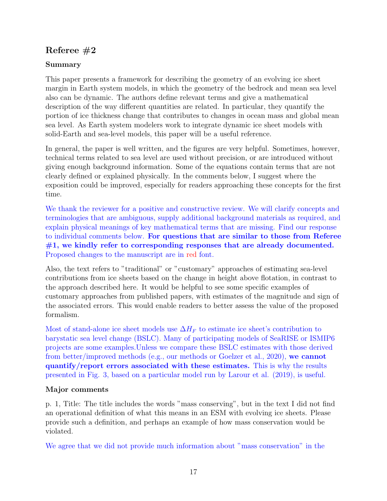# Referee  $#2$

## Summary

This paper presents a framework for describing the geometry of an evolving ice sheet margin in Earth system models, in which the geometry of the bedrock and mean sea level also can be dynamic. The authors define relevant terms and give a mathematical description of the way different quantities are related. In particular, they quantify the portion of ice thickness change that contributes to changes in ocean mass and global mean sea level. As Earth system modelers work to integrate dynamic ice sheet models with solid-Earth and sea-level models, this paper will be a useful reference.

In general, the paper is well written, and the figures are very helpful. Sometimes, however, technical terms related to sea level are used without precision, or are introduced without giving enough background information. Some of the equations contain terms that are not clearly defined or explained physically. In the comments below, I suggest where the exposition could be improved, especially for readers approaching these concepts for the first time.

We thank the reviewer for a positive and constructive review. We will clarify concepts and terminologies that are ambiguous, supply additional background materials as required, and explain physical meanings of key mathematical terms that are missing. Find our response to individual comments below. For questions that are similar to those from Referee  $#1$ , we kindly refer to corresponding responses that are already documented. Proposed changes to the manuscript are in red font.

Also, the text refers to "traditional" or "customary" approaches of estimating sea-level contributions from ice sheets based on the change in height above flotation, in contrast to the approach described here. It would be helpful to see some specific examples of customary approaches from published papers, with estimates of the magnitude and sign of the associated errors. This would enable readers to better assess the value of the proposed formalism.

Most of stand-alone ice sheet models use  $\Delta H_F$  to estimate ice sheet's contribution to barystatic sea level change (BSLC). Many of participating models of SeaRISE or ISMIP6 projects are some examples.Unless we compare these BSLC estimates with those derived from better/improved methods (e.g., our methods or Goelzer et al., 2020), we cannot quantify/report errors associated with these estimates. This is why the results presented in Fig. 3, based on a particular model run by Larour et al. (2019), is useful.

## Major comments

p. 1, Title: The title includes the words "mass conserving", but in the text I did not find an operational definition of what this means in an ESM with evolving ice sheets. Please provide such a definition, and perhaps an example of how mass conservation would be violated.

We agree that we did not provide much information about "mass conservation" in the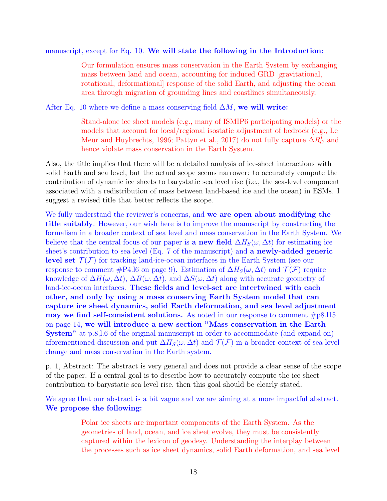manuscript, except for Eq. 10. We will state the following in the Introduction:

Our formulation ensures mass conservation in the Earth System by exchanging mass between land and ocean, accounting for induced GRD [gravitational, rotational, deformational] response of the solid Earth, and adjusting the ocean area through migration of grounding lines and coastlines simultaneously.

After Eq. 10 where we define a mass conserving field  $\Delta M$ , we will write:

Stand-alone ice sheet models (e.g., many of ISMIP6 participating models) or the models that account for local/regional isostatic adjustment of bedrock (e.g., Le Meur and Huybrechts, 1996; Pattyn et al., 2017) do not fully capture  $\Delta R_C^I$  and hence violate mass conservation in the Earth System.

Also, the title implies that there will be a detailed analysis of ice-sheet interactions with solid Earth and sea level, but the actual scope seems narrower: to accurately compute the contribution of dynamic ice sheets to barystatic sea level rise (i.e., the sea-level component associated with a redistribution of mass between land-based ice and the ocean) in ESMs. I suggest a revised title that better reflects the scope.

We fully understand the reviewer's concerns, and we are open about modifying the title suitably. However, our wish here is to improve the manuscript by constructing the formalism in a broader context of sea level and mass conservation in the Earth System. We believe that the central focus of our paper is a new field  $\Delta H_S(\omega, \Delta t)$  for estimating ice sheet's contribution to sea level (Eq. 7 of the manuscript) and a newly-added generic **level set**  $\mathcal{T}(\mathcal{F})$  for tracking land-ice-ocean interfaces in the Earth System (see our response to comment #P4.16 on page 9). Estimation of  $\Delta H_S(\omega, \Delta t)$  and  $\mathcal{T}(\mathcal{F})$  require knowledge of  $\Delta H(\omega, \Delta t)$ ,  $\Delta B(\omega, \Delta t)$ , and  $\Delta S(\omega, \Delta t)$  along with accurate geometry of land-ice-ocean interfaces. These fields and level-set are intertwined with each other, and only by using a mass conserving Earth System model that can capture ice sheet dynamics, solid Earth deformation, and sea level adjustment may we find self-consistent solutions. As noted in our response to comment  $\#p8.115$ on page 14, we will introduce a new section "Mass conservation in the Earth System" at p.8,l.6 of the original manuscript in order to accommodate (and expand on) aforementioned discussion and put  $\Delta H_S(\omega, \Delta t)$  and  $\mathcal{T}(\mathcal{F})$  in a broader context of sea level change and mass conservation in the Earth system.

p. 1, Abstract: The abstract is very general and does not provide a clear sense of the scope of the paper. If a central goal is to describe how to accurately compute the ice sheet contribution to barystatic sea level rise, then this goal should be clearly stated.

We agree that our abstract is a bit vague and we are aiming at a more impactful abstract. We propose the following:

> Polar ice sheets are important components of the Earth System. As the geometries of land, ocean, and ice sheet evolve, they must be consistently captured within the lexicon of geodesy. Understanding the interplay between the processes such as ice sheet dynamics, solid Earth deformation, and sea level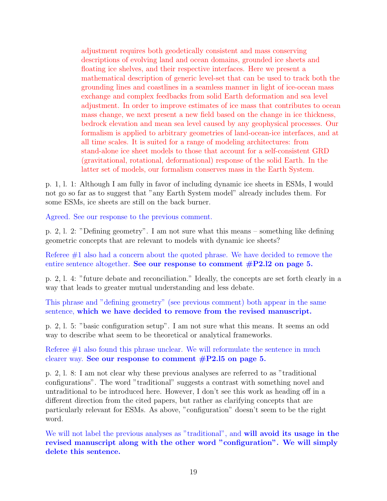adjustment requires both geodetically consistent and mass conserving descriptions of evolving land and ocean domains, grounded ice sheets and floating ice shelves, and their respective interfaces. Here we present a mathematical description of generic level-set that can be used to track both the grounding lines and coastlines in a seamless manner in light of ice-ocean mass exchange and complex feedbacks from solid Earth deformation and sea level adjustment. In order to improve estimates of ice mass that contributes to ocean mass change, we next present a new field based on the change in ice thickness, bedrock elevation and mean sea level caused by any geophysical processes. Our formalism is applied to arbitrary geometries of land-ocean-ice interfaces, and at all time scales. It is suited for a range of modeling architectures: from stand-alone ice sheet models to those that account for a self-consistent GRD (gravitational, rotational, deformational) response of the solid Earth. In the latter set of models, our formalism conserves mass in the Earth System.

p. 1, l. 1: Although I am fully in favor of including dynamic ice sheets in ESMs, I would not go so far as to suggest that "any Earth System model" already includes them. For some ESMs, ice sheets are still on the back burner.

Agreed. See our response to the previous comment.

p. 2, l. 2: "Defining geometry". I am not sure what this means – something like defining geometric concepts that are relevant to models with dynamic ice sheets?

Referee #1 also had a concern about the quoted phrase. We have decided to remove the entire sentence altogether. See our response to comment  $\#P2.12$  on page 5.

p. 2, l. 4: "future debate and reconciliation." Ideally, the concepts are set forth clearly in a way that leads to greater mutual understanding and less debate.

This phrase and "defining geometry" (see previous comment) both appear in the same sentence, which we have decided to remove from the revised manuscript.

p. 2, l. 5: "basic configuration setup". I am not sure what this means. It seems an odd way to describe what seem to be theoretical or analytical frameworks.

Referee #1 also found this phrase unclear. We will reformulate the sentence in much clearer way. See our response to comment  $\#P2.15$  on page 5.

p. 2, l. 8: I am not clear why these previous analyses are referred to as "traditional configurations". The word "traditional" suggests a contrast with something novel and untraditional to be introduced here. However, I don't see this work as heading off in a different direction from the cited papers, but rather as clarifying concepts that are particularly relevant for ESMs. As above, "configuration" doesn't seem to be the right word.

We will not label the previous analyses as "traditional", and **will avoid its usage in the** revised manuscript along with the other word "configuration". We will simply delete this sentence.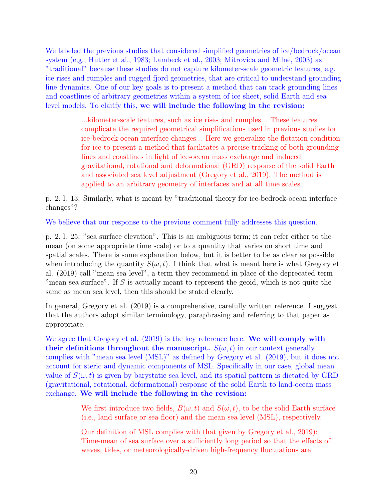We labeled the previous studies that considered simplified geometries of ice/bedrock/ocean system (e.g., Hutter et al., 1983; Lambeck et al., 2003; Mitrovica and Milne, 2003) as "traditional" because these studies do not capture kilometer-scale geometric features, e.g. ice rises and rumples and rugged fjord geometries, that are critical to understand grounding line dynamics. One of our key goals is to present a method that can track grounding lines and coastlines of arbitrary geometries within a system of ice sheet, solid Earth and sea level models. To clarify this, we will include the following in the revision:

> ...kilometer-scale features, such as ice rises and rumples... These features complicate the required geometrical simplifications used in previous studies for ice-bedrock-ocean interface changes... Here we generalize the flotation condition for ice to present a method that facilitates a precise tracking of both grounding lines and coastlines in light of ice-ocean mass exchange and induced gravitational, rotational and deformational (GRD) response of the solid Earth and associated sea level adjustment (Gregory et al., 2019). The method is applied to an arbitrary geometry of interfaces and at all time scales.

p. 2, l. 13: Similarly, what is meant by "traditional theory for ice-bedrock-ocean interface changes"?

We believe that our response to the previous comment fully addresses this question.

p. 2, l. 25: "sea surface elevation". This is an ambiguous term; it can refer either to the mean (on some appropriate time scale) or to a quantity that varies on short time and spatial scales. There is some explanation below, but it is better to be as clear as possible when introducing the quantity  $S(\omega, t)$ . I think that what is meant here is what Gregory et al. (2019) call "mean sea level", a term they recommend in place of the deprecated term "mean sea surface". If S is actually meant to represent the geoid, which is not quite the same as mean sea level, then this should be stated clearly.

In general, Gregory et al. (2019) is a comprehensive, carefully written reference. I suggest that the authors adopt similar terminology, paraphrasing and referring to that paper as appropriate.

We agree that Gregory et al. (2019) is the key reference here. We will comply with their definitions throughout the manuscript.  $S(\omega, t)$  in our context generally complies with "mean sea level (MSL)" as defined by Gregory et al. (2019), but it does not account for steric and dynamic components of MSL. Specifically in our case, global mean value of  $S(\omega, t)$  is given by barystatic sea level, and its spatial pattern is dictated by GRD (gravitational, rotational, deformational) response of the solid Earth to land-ocean mass exchange. We will include the following in the revision:

> We first introduce two fields,  $B(\omega, t)$  and  $S(\omega, t)$ , to be the solid Earth surface (i.e., land surface or sea floor) and the mean sea level (MSL), respectively.

Our definition of MSL complies with that given by Gregory et al., 2019): Time-mean of sea surface over a sufficiently long period so that the effects of waves, tides, or meteorologically-driven high-frequency fluctuations are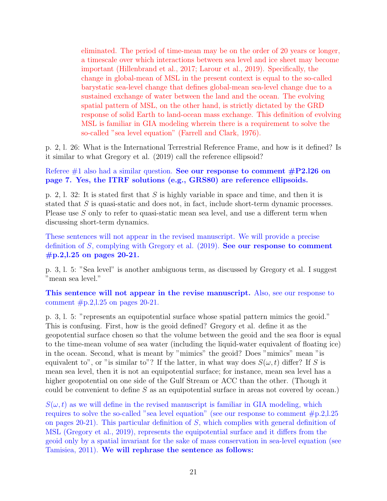eliminated. The period of time-mean may be on the order of 20 years or longer, a timescale over which interactions between sea level and ice sheet may become important (Hillenbrand et al., 2017; Larour et al., 2019). Specifically, the change in global-mean of MSL in the present context is equal to the so-called barystatic sea-level change that defines global-mean sea-level change due to a sustained exchange of water between the land and the ocean. The evolving spatial pattern of MSL, on the other hand, is strictly dictated by the GRD response of solid Earth to land-ocean mass exchange. This definition of evolving MSL is familiar in GIA modeling wherein there is a requirement to solve the so-called "sea level equation" (Farrell and Clark, 1976).

p. 2, l. 26: What is the International Terrestrial Reference Frame, and how is it defined? Is it similar to what Gregory et al. (2019) call the reference ellipsoid?

Referee  $\#1$  also had a similar question. See our response to comment  $\#P2.126$  on page 7. Yes, the ITRF solutions (e.g., GRS80) are reference ellipsoids.

p. 2, l. 32: It is stated first that S is highly variable in space and time, and then it is stated that  $S$  is quasi-static and does not, in fact, include short-term dynamic processes. Please use S only to refer to quasi-static mean sea level, and use a different term when discussing short-term dynamics.

These sentences will not appear in the revised manuscript. We will provide a precise definition of S, complying with Gregory et al. (2019). See our response to comment #p.2,l.25 on pages 20-21.

p. 3, l. 5: "Sea level" is another ambiguous term, as discussed by Gregory et al. I suggest "mean sea level."

This sentence will not appear in the revise manuscript. Also, see our response to comment  $#p.2,1.25$  on pages 20-21.

p. 3, l. 5: "represents an equipotential surface whose spatial pattern mimics the geoid." This is confusing. First, how is the geoid defined? Gregory et al. define it as the geopotential surface chosen so that the volume between the geoid and the sea floor is equal to the time-mean volume of sea water (including the liquid-water equivalent of floating ice) in the ocean. Second, what is meant by "mimics" the geoid? Does "mimics" mean "is equivalent to", or "is similar to"? If the latter, in what way does  $S(\omega, t)$  differ? If S is mean sea level, then it is not an equipotential surface; for instance, mean sea level has a higher geopotential on one side of the Gulf Stream or ACC than the other. (Though it could be convenient to define  $S$  as an equipotential surface in areas not covered by ocean.)

 $S(\omega, t)$  as we will define in the revised manuscript is familiar in GIA modeling, which requires to solve the so-called "sea level equation" (see our response to comment #p.2,l.25 on pages 20-21). This particular definition of S, which complies with general definition of MSL (Gregory et al., 2019), represents the equipotential surface and it differs from the geoid only by a spatial invariant for the sake of mass conservation in sea-level equation (see Tamisiea, 2011). We will rephrase the sentence as follows: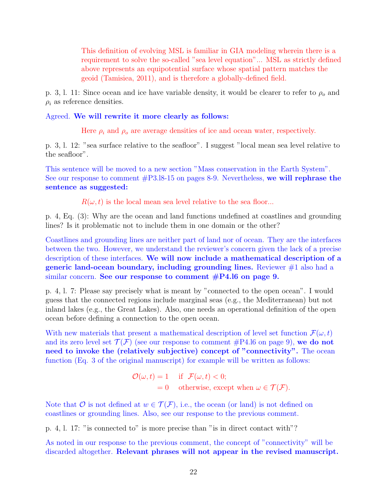This definition of evolving MSL is familiar in GIA modeling wherein there is a requirement to solve the so-called "sea level equation"... MSL as strictly defined above represents an equipotential surface whose spatial pattern matches the geoid (Tamisiea, 2011), and is therefore a globally-defined field.

p. 3, l. 11: Since ocean and ice have variable density, it would be clearer to refer to  $\rho_o$  and  $\rho_i$  as reference densities.

### Agreed. We will rewrite it more clearly as follows:

Here  $\rho_i$  and  $\rho_o$  are average densities of ice and ocean water, respectively.

p. 3, l. 12: "sea surface relative to the seafloor". I suggest "local mean sea level relative to the seafloor".

This sentence will be moved to a new section "Mass conservation in the Earth System". See our response to comment #P3.l8-15 on pages 8-9. Nevertheless, we will rephrase the sentence as suggested:

 $R(\omega, t)$  is the local mean sea level relative to the sea floor...

p. 4, Eq. (3): Why are the ocean and land functions undefined at coastlines and grounding lines? Is it problematic not to include them in one domain or the other?

Coastlines and grounding lines are neither part of land nor of ocean. They are the interfaces between the two. However, we understand the reviewer's concern given the lack of a precise description of these interfaces. We will now include a mathematical description of a generic land-ocean boundary, including grounding lines. Reviewer  $#1$  also had a similar concern. See our response to comment  $\#P4.16$  on page 9.

p. 4, l. 7: Please say precisely what is meant by "connected to the open ocean". I would guess that the connected regions include marginal seas (e.g., the Mediterranean) but not inland lakes (e.g., the Great Lakes). Also, one needs an operational definition of the open ocean before defining a connection to the open ocean.

With new materials that present a mathematical description of level set function  $\mathcal{F}(\omega, t)$ and its zero level set  $\mathcal{T}(\mathcal{F})$  (see our response to comment #P4.16 on page 9), we do not need to invoke the (relatively subjective) concept of "connectivity". The ocean function (Eq. 3 of the original manuscript) for example will be written as follows:

$$
\mathcal{O}(\omega, t) = 1 \quad \text{if } \mathcal{F}(\omega, t) < 0; \\
= 0 \quad \text{otherwise, except when } \omega \in \mathcal{T}(\mathcal{F}).
$$

Note that O is not defined at  $w \in \mathcal{T}(\mathcal{F})$ , i.e., the ocean (or land) is not defined on coastlines or grounding lines. Also, see our response to the previous comment.

p. 4, l. 17: "is connected to" is more precise than "is in direct contact with"?

As noted in our response to the previous comment, the concept of "connectivity" will be discarded altogether. Relevant phrases will not appear in the revised manuscript.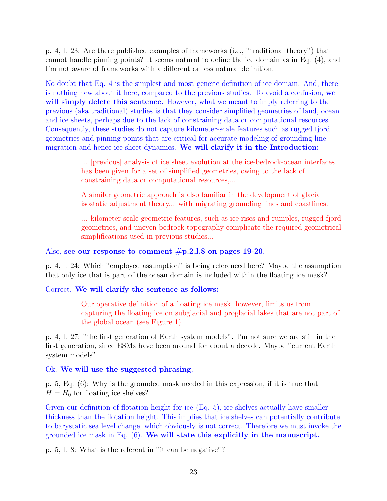p. 4, l. 23: Are there published examples of frameworks (i.e., "traditional theory") that cannot handle pinning points? It seems natural to define the ice domain as in Eq. (4), and I'm not aware of frameworks with a different or less natural definition.

No doubt that Eq. 4 is the simplest and most generic definition of ice domain. And, there is nothing new about it here, compared to the previous studies. To avoid a confusion, we will simply delete this sentence. However, what we meant to imply referring to the previous (aka traditional) studies is that they consider simplified geometries of land, ocean and ice sheets, perhaps due to the lack of constraining data or computational resources. Consequently, these studies do not capture kilometer-scale features such as rugged fjord geometries and pinning points that are critical for accurate modeling of grounding line migration and hence ice sheet dynamics. We will clarify it in the Introduction:

> ... [previous] analysis of ice sheet evolution at the ice-bedrock-ocean interfaces has been given for a set of simplified geometries, owing to the lack of constraining data or computational resources,...

A similar geometric approach is also familiar in the development of glacial isostatic adjustment theory... with migrating grounding lines and coastlines.

... kilometer-scale geometric features, such as ice rises and rumples, rugged fjord geometries, and uneven bedrock topography complicate the required geometrical simplifications used in previous studies...

### Also, see our response to comment #p.2,l.8 on pages 19-20.

p. 4, l. 24: Which "employed assumption" is being referenced here? Maybe the assumption that only ice that is part of the ocean domain is included within the floating ice mask?

## Correct. We will clarify the sentence as follows:

Our operative definition of a floating ice mask, however, limits us from capturing the floating ice on subglacial and proglacial lakes that are not part of the global ocean (see Figure 1).

p. 4, l. 27: "the first generation of Earth system models". I'm not sure we are still in the first generation, since ESMs have been around for about a decade. Maybe "current Earth system models".

## Ok. We will use the suggested phrasing.

p. 5, Eq. (6): Why is the grounded mask needed in this expression, if it is true that  $H = H_0$  for floating ice shelves?

Given our definition of flotation height for ice (Eq. 5), ice shelves actually have smaller thickness than the flotation height. This implies that ice shelves can potentially contribute to barystatic sea level change, which obviously is not correct. Therefore we must invoke the grounded ice mask in Eq.  $(6)$ . We will state this explicitly in the manuscript.

p. 5, l. 8: What is the referent in "it can be negative"?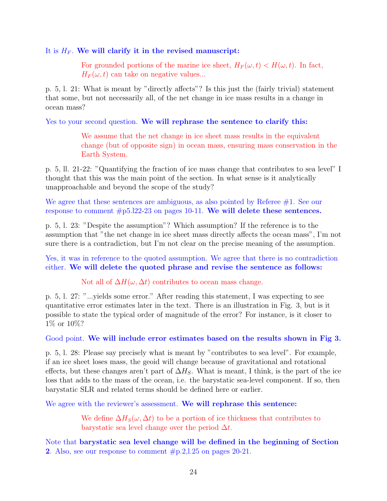It is  $H_F$ . We will clarify it in the revised manuscript:

For grounded portions of the marine ice sheet,  $H_F(\omega, t) < H(\omega, t)$ . In fact,  $H_F(\omega, t)$  can take on negative values...

p. 5, l. 21: What is meant by "directly affects"? Is this just the (fairly trivial) statement that some, but not necessarily all, of the net change in ice mass results in a change in ocean mass?

Yes to your second question. We will rephrase the sentence to clarify this:

We assume that the net change in ice sheet mass results in the equivalent change (but of opposite sign) in ocean mass, ensuring mass conservation in the Earth System.

p. 5, ll. 21-22: "Quantifying the fraction of ice mass change that contributes to sea level" I thought that this was the main point of the section. In what sense is it analytically unapproachable and beyond the scope of the study?

We agree that these sentences are ambiguous, as also pointed by Referee  $#1$ . See our response to comment #p5.l22-23 on pages 10-11. We will delete these sentences.

p. 5, l. 23: "Despite the assumption"? Which assumption? If the reference is to the assumption that "the net change in ice sheet mass directly affects the ocean mass", I'm not sure there is a contradiction, but I'm not clear on the precise meaning of the assumption.

Yes, it was in reference to the quoted assumption. We agree that there is no contradiction either. We will delete the quoted phrase and revise the sentence as follows:

Not all of  $\Delta H(\omega, \Delta t)$  contributes to ocean mass change.

p. 5, l. 27: "...yields some error." After reading this statement, I was expecting to see quantitative error estimates later in the text. There is an illustration in Fig. 3, but is it possible to state the typical order of magnitude of the error? For instance, is it closer to 1% or 10%?

Good point. We will include error estimates based on the results shown in Fig 3.

p. 5, l. 28: Please say precisely what is meant by "contributes to sea level". For example, if an ice sheet loses mass, the geoid will change because of gravitational and rotational effects, but these changes aren't part of  $\Delta H_S$ . What is meant, I think, is the part of the ice loss that adds to the mass of the ocean, i.e. the barystatic sea-level component. If so, then barystatic SLR and related terms should be defined here or earlier.

We agree with the reviewer's assessment. We will rephrase this sentence:

We define  $\Delta H_S(\omega, \Delta t)$  to be a portion of ice thickness that contributes to barystatic sea level change over the period  $\Delta t$ .

Note that barystatic sea level change will be defined in the beginning of Section 2. Also, see our response to comment  $\#p.2,1.25$  on pages 20-21.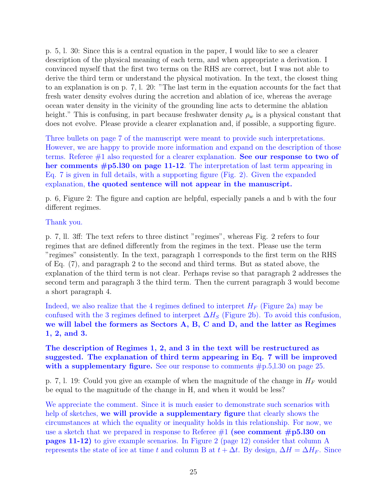p. 5, l. 30: Since this is a central equation in the paper, I would like to see a clearer description of the physical meaning of each term, and when appropriate a derivation. I convinced myself that the first two terms on the RHS are correct, but I was not able to derive the third term or understand the physical motivation. In the text, the closest thing to an explanation is on p. 7, l. 20: "The last term in the equation accounts for the fact that fresh water density evolves during the accretion and ablation of ice, whereas the average ocean water density in the vicinity of the grounding line acts to determine the ablation height." This is confusing, in part because freshwater density  $\rho_w$  is a physical constant that does not evolve. Please provide a clearer explanation and, if possible, a supporting figure.

Three bullets on page 7 of the manuscript were meant to provide such interpretations. However, we are happy to provide more information and expand on the description of those terms. Referee  $\#1$  also requested for a clearer explanation. See our response to two of her comments  $\#p5.130$  on page 11-12. The interpretation of last term appearing in Eq. 7 is given in full details, with a supporting figure (Fig. 2). Given the expanded explanation, the quoted sentence will not appear in the manuscript.

p. 6, Figure 2: The figure and caption are helpful, especially panels a and b with the four different regimes.

## Thank you.

p. 7, ll. 3ff: The text refers to three distinct "regimes", whereas Fig. 2 refers to four regimes that are defined differently from the regimes in the text. Please use the term "regimes" consistently. In the text, paragraph 1 corresponds to the first term on the RHS of Eq. (7), and paragraph 2 to the second and third terms. But as stated above, the explanation of the third term is not clear. Perhaps revise so that paragraph 2 addresses the second term and paragraph 3 the third term. Then the current paragraph 3 would become a short paragraph 4.

Indeed, we also realize that the 4 regimes defined to interpret  $H_F$  (Figure 2a) may be confused with the 3 regimes defined to interpret  $\Delta H_S$  (Figure 2b). To avoid this confusion, we will label the formers as Sectors A, B, C and D, and the latter as Regimes 1, 2, and 3.

## The description of Regimes 1, 2, and 3 in the text will be restructured as suggested. The explanation of third term appearing in Eq. 7 will be improved with a supplementary figure. See our response to comments  $\#p.5,1.30$  on page 25.

p. 7, 1. 19: Could you give an example of when the magnitude of the change in  $H_F$  would be equal to the magnitude of the change in H, and when it would be less?

We appreciate the comment. Since it is much easier to demonstrate such scenarios with help of sketches, we will provide a supplementary figure that clearly shows the circumstances at which the equality or inequality holds in this relationship. For now, we use a sketch that we prepared in response to Referee  $\#1$  (see comment  $\#p5.130$  on pages 11-12) to give example scenarios. In Figure 2 (page 12) consider that column A represents the state of ice at time t and column B at  $t + \Delta t$ . By design,  $\Delta H = \Delta H_F$ . Since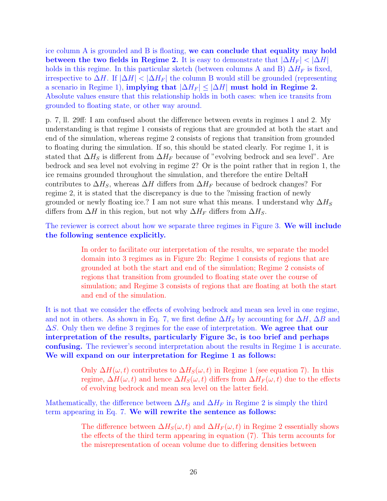ice column A is grounded and B is floating, we can conclude that equality may hold between the two fields in Regime 2. It is easy to demonstrate that  $|\Delta H_F| < |\Delta H|$ holds in this regime. In this particular sketch (between columns A and B)  $\Delta H_F$  is fixed, irrespective to  $\Delta H$ . If  $|\Delta H| < |\Delta H_F|$  the column B would still be grounded (representing a scenario in Regime 1), implying that  $|\Delta H_F| \leq |\Delta H|$  must hold in Regime 2. Absolute values ensure that this relationship holds in both cases: when ice transits from grounded to floating state, or other way around.

p. 7, ll. 29ff: I am confused about the difference between events in regimes 1 and 2. My understanding is that regime 1 consists of regions that are grounded at both the start and end of the simulation, whereas regime 2 consists of regions that transition from grounded to floating during the simulation. If so, this should be stated clearly. For regime 1, it is stated that  $\Delta H_S$  is different from  $\Delta H_F$  because of "evolving bedrock and sea level". Are bedrock and sea level not evolving in regime 2? Or is the point rather that in region 1, the ice remains grounded throughout the simulation, and therefore the entire DeltaH contributes to  $\Delta H_S$ , whereas  $\Delta H$  differs from  $\Delta H_F$  because of bedrock changes? For regime 2, it is stated that the discrepancy is due to the ?missing fraction of newly grounded or newly floating ice.? I am not sure what this means. I understand why  $\Delta H_S$ differs from  $\Delta H$  in this region, but not why  $\Delta H_F$  differs from  $\Delta H_S$ .

The reviewer is correct about how we separate three regimes in Figure 3. We will include the following sentence explicitly.

> In order to facilitate our interpretation of the results, we separate the model domain into 3 regimes as in Figure 2b: Regime 1 consists of regions that are grounded at both the start and end of the simulation; Regime 2 consists of regions that transition from grounded to floating state over the course of simulation; and Regime 3 consists of regions that are floating at both the start and end of the simulation.

It is not that we consider the effects of evolving bedrock and mean sea level in one regime, and not in others. As shown in Eq. 7, we first define  $\Delta H_S$  by accounting for  $\Delta H$ ,  $\Delta B$  and  $\Delta S$ . Only then we define 3 regimes for the ease of interpretation. We agree that our interpretation of the results, particularly Figure 3c, is too brief and perhaps confusing. The reviewer's second interpretation about the results in Regime 1 is accurate. We will expand on our interpretation for Regime 1 as follows:

> Only  $\Delta H(\omega, t)$  contributes to  $\Delta H_S(\omega, t)$  in Regime 1 (see equation 7). In this regime,  $\Delta H(\omega, t)$  and hence  $\Delta H_S(\omega, t)$  differs from  $\Delta H_F(\omega, t)$  due to the effects of evolving bedrock and mean sea level on the latter field.

Mathematically, the difference between  $\Delta H_S$  and  $\Delta H_F$  in Regime 2 is simply the third term appearing in Eq. 7. We will rewrite the sentence as follows:

> The difference between  $\Delta H_S(\omega, t)$  and  $\Delta H_F(\omega, t)$  in Regime 2 essentially shows the effects of the third term appearing in equation (7). This term accounts for the misrepresentation of ocean volume due to differing densities between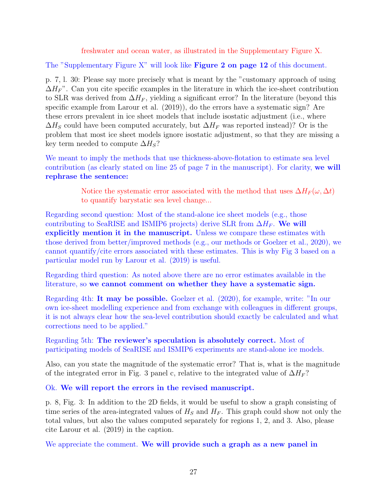freshwater and ocean water, as illustrated in the Supplementary Figure X.

The "Supplementary Figure X" will look like Figure 2 on page 12 of this document.

p. 7, l. 30: Please say more precisely what is meant by the "customary approach of using  $\Delta H_F$ ". Can you cite specific examples in the literature in which the ice-sheet contribution to SLR was derived from  $\Delta H_F$ , yielding a significant error? In the literature (beyond this specific example from Larour et al. (2019)), do the errors have a systematic sign? Are these errors prevalent in ice sheet models that include isostatic adjustment (i.e., where  $\Delta H_S$  could have been computed accurately, but  $\Delta H_F$  was reported instead)? Or is the problem that most ice sheet models ignore isostatic adjustment, so that they are missing a key term needed to compute  $\Delta H_S$ ?

We meant to imply the methods that use thickness-above-flotation to estimate sea level contribution (as clearly stated on line 25 of page 7 in the manuscript). For clarity, we will rephrase the sentence:

> Notice the systematic error associated with the method that uses  $\Delta H_F(\omega, \Delta t)$ to quantify barystatic sea level change...

Regarding second question: Most of the stand-alone ice sheet models (e.g., those contributing to SeaRISE and ISMIP6 projects) derive SLR from  $\Delta H_F$ . We will explicitly mention it in the manuscript. Unless we compare these estimates with those derived from better/improved methods (e.g., our methods or Goelzer et al., 2020), we cannot quantify/cite errors associated with these estimates. This is why Fig 3 based on a particular model run by Larour et al. (2019) is useful.

Regarding third question: As noted above there are no error estimates available in the literature, so we cannot comment on whether they have a systematic sign.

Regarding 4th: It may be possible. Goelzer et al. (2020), for example, write: "In our own ice-sheet modelling experience and from exchange with colleagues in different groups, it is not always clear how the sea-level contribution should exactly be calculated and what corrections need to be applied."

Regarding 5th: The reviewer's speculation is absolutely correct. Most of participating models of SeaRISE and ISMIP6 experiments are stand-alone ice models.

Also, can you state the magnitude of the systematic error? That is, what is the magnitude of the integrated error in Fig. 3 panel c, relative to the integrated value of  $\Delta H_F$ ?

Ok. We will report the errors in the revised manuscript.

p. 8, Fig. 3: In addition to the 2D fields, it would be useful to show a graph consisting of time series of the area-integrated values of  $H<sub>S</sub>$  and  $H<sub>F</sub>$ . This graph could show not only the total values, but also the values computed separately for regions 1, 2, and 3. Also, please cite Larour et al. (2019) in the caption.

We appreciate the comment. We will provide such a graph as a new panel in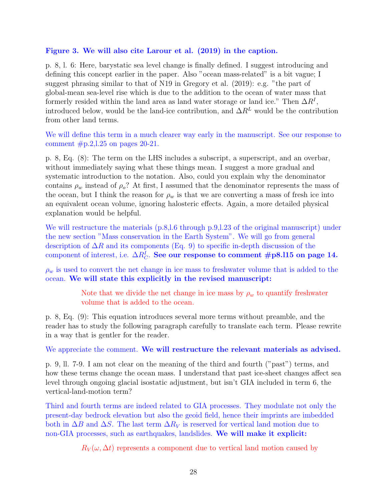### Figure 3. We will also cite Larour et al. (2019) in the caption.

p. 8, l. 6: Here, barystatic sea level change is finally defined. I suggest introducing and defining this concept earlier in the paper. Also "ocean mass-related" is a bit vague; I suggest phrasing similar to that of N19 in Gregory et al. (2019): e.g. "the part of global-mean sea-level rise which is due to the addition to the ocean of water mass that formerly resided within the land area as land water storage or land ice." Then  $\Delta R^{I}$ , introduced below, would be the land-ice contribution, and  $\Delta R^L$  would be the contribution from other land terms.

We will define this term in a much clearer way early in the manuscript. See our response to comment  $\#p.2,1.25$  on pages 20-21.

p. 8, Eq. (8): The term on the LHS includes a subscript, a superscript, and an overbar, without immediately saying what these things mean. I suggest a more gradual and systematic introduction to the notation. Also, could you explain why the denominator contains  $\rho_w$  instead of  $\rho_o$ ? At first, I assumed that the denominator represents the mass of the ocean, but I think the reason for  $\rho_w$  is that we are converting a mass of fresh ice into an equivalent ocean volume, ignoring halosteric effects. Again, a more detailed physical explanation would be helpful.

We will restructure the materials (p.8,l.6 through p.9,l.23 of the original manuscript) under the new section "Mass conservation in the Earth System". We will go from general description of  $\Delta R$  and its components (Eq. 9) to specific in-depth discussion of the component of interest, i.e.  $\Delta R_C^I$ . See our response to comment #p8.115 on page 14.

 $\rho_w$  is used to convert the net change in ice mass to freshwater volume that is added to the ocean. We will state this explicitly in the revised manuscript:

> Note that we divide the net change in ice mass by  $\rho_w$  to quantify freshwater volume that is added to the ocean.

p. 8, Eq. (9): This equation introduces several more terms without preamble, and the reader has to study the following paragraph carefully to translate each term. Please rewrite in a way that is gentler for the reader.

We appreciate the comment. We will restructure the relevant materials as advised.

p. 9, ll. 7-9. I am not clear on the meaning of the third and fourth ("past") terms, and how these terms change the ocean mass. I understand that past ice-sheet changes affect sea level through ongoing glacial isostatic adjustment, but isn't GIA included in term 6, the vertical-land-motion term?

Third and fourth terms are indeed related to GIA processes. They modulate not only the present-day bedrock elevation but also the geoid field, hence their imprints are imbedded both in  $\Delta B$  and  $\Delta S$ . The last term  $\Delta R_V$  is reserved for vertical land motion due to non-GIA processes, such as earthquakes, landslides. We will make it explicit:

 $R_V(\omega, \Delta t)$  represents a component due to vertical land motion caused by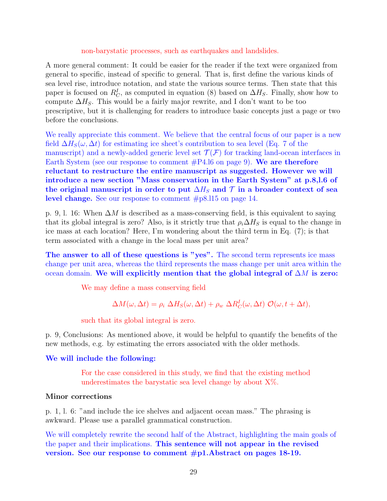### non-barystatic processes, such as earthquakes and landslides.

A more general comment: It could be easier for the reader if the text were organized from general to specific, instead of specific to general. That is, first define the various kinds of sea level rise, introduce notation, and state the various source terms. Then state that this paper is focused on  $R_C^I$ , as computed in equation (8) based on  $\Delta H_S$ . Finally, show how to compute  $\Delta H_S$ . This would be a fairly major rewrite, and I don't want to be too prescriptive, but it is challenging for readers to introduce basic concepts just a page or two before the conclusions.

We really appreciate this comment. We believe that the central focus of our paper is a new field  $\Delta H_S(\omega, \Delta t)$  for estimating ice sheet's contribution to sea level (Eq. 7 of the manuscript) and a newly-added generic level set  $\mathcal{T}(\mathcal{F})$  for tracking land-ocean interfaces in Earth System (see our response to comment  $\#P4.16$  on page 9). We are therefore reluctant to restructure the entire manuscript as suggested. However we will introduce a new section "Mass conservation in the Earth System" at p.8,l.6 of the original manuscript in order to put  $\Delta H_S$  and  $\mathcal T$  in a broader context of sea level change. See our response to comment #p8.l15 on page 14.

p. 9, l. 16: When  $\Delta M$  is described as a mass-conserving field, is this equivalent to saying that its global integral is zero? Also, is it strictly true that  $\rho_i \Delta H_S$  is equal to the change in ice mass at each location? Here, I'm wondering about the third term in Eq. (7); is that term associated with a change in the local mass per unit area?

The answer to all of these questions is "yes". The second term represents ice mass change per unit area, whereas the third represents the mass change per unit area within the ocean domain. We will explicitly mention that the global integral of  $\Delta M$  is zero:

We may define a mass conserving field

$$
\Delta M(\omega, \Delta t) = \rho_i \ \Delta H_S(\omega, \Delta t) + \rho_w \ \Delta R_C^I(\omega, \Delta t) \ \mathcal{O}(\omega, t + \Delta t),
$$

such that its global integral is zero.

p. 9, Conclusions: As mentioned above, it would be helpful to quantify the benefits of the new methods, e.g. by estimating the errors associated with the older methods.

### We will include the following:

For the case considered in this study, we find that the existing method underestimates the barystatic sea level change by about  $X\%$ .

#### Minor corrections

p. 1, l. 6: "and include the ice shelves and adjacent ocean mass." The phrasing is awkward. Please use a parallel grammatical construction.

We will completely rewrite the second half of the Abstract, highlighting the main goals of the paper and their implications. This sentence will not appear in the revised version. See our response to comment #p1.Abstract on pages 18-19.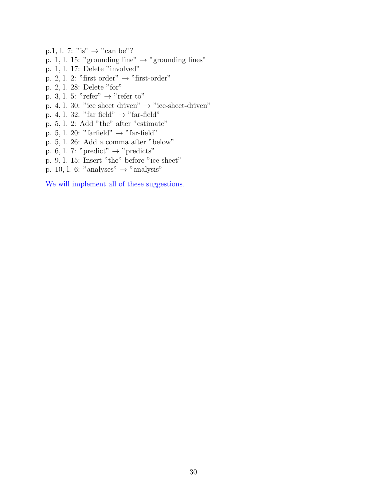- p.1, l. 7: "is"  $\rightarrow$  "can be"?
- p. 1, l. 15: "grounding line"  $\rightarrow$  "grounding lines"
- p. 1, l. 17: Delete "involved"
- p. 2, l. 2: "first order"  $\rightarrow$  "first-order"
- p. 2, l. 28: Delete "for"
- p. 3, l. 5: "refer"  $\rightarrow$  "refer to"
- p. 4, l. 30: "ice sheet driven"  $\rightarrow$  "ice-sheet-driven"
- p. 4, l. 32: "far field"  $\rightarrow$  "far-field"
- p. 5, l. 2: Add "the" after "estimate"
- p. 5, l. 20: "farfield"  $\rightarrow$  "far-field"
- p. 5, l. 26: Add a comma after "below"
- p. 6, l. 7: "predict"  $\rightarrow$  "predicts"
- p. 9, l. 15: Insert "the" before "ice sheet"
- p. 10, l. 6: "analyses"  $\rightarrow$  "analysis"

We will implement all of these suggestions.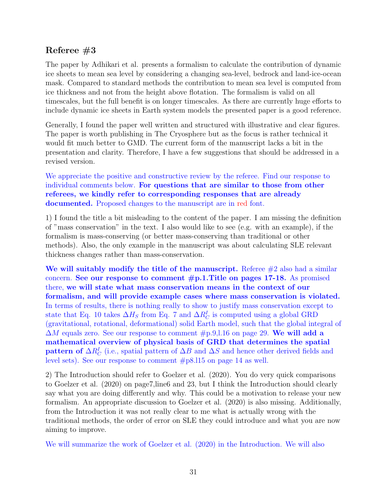# Referee  $#3$

The paper by Adhikari et al. presents a formalism to calculate the contribution of dynamic ice sheets to mean sea level by considering a changing sea-level, bedrock and land-ice-ocean mask. Compared to standard methods the contribution to mean sea level is computed from ice thickness and not from the height above flotation. The formalism is valid on all timescales, but the full benefit is on longer timescales. As there are currently huge efforts to include dynamic ice sheets in Earth system models the presented paper is a good reference.

Generally, I found the paper well written and structured with illustrative and clear figures. The paper is worth publishing in The Cryosphere but as the focus is rather technical it would fit much better to GMD. The current form of the manuscript lacks a bit in the presentation and clarity. Therefore, I have a few suggestions that should be addressed in a revised version.

We appreciate the positive and constructive review by the referee. Find our response to individual comments below. For questions that are similar to those from other referees, we kindly refer to corresponding responses that are already documented. Proposed changes to the manuscript are in red font.

1) I found the title a bit misleading to the content of the paper. I am missing the definition of "mass conservation" in the text. I also would like to see (e.g. with an example), if the formalism is mass-conserving (or better mass-conserving than traditional or other methods). Also, the only example in the manuscript was about calculating SLE relevant thickness changes rather than mass-conservation.

We will suitably modify the title of the manuscript. Referee  $#2$  also had a similar concern. See our response to comment  $\#p.1$ . Title on pages 17-18. As promised there, we will state what mass conservation means in the context of our formalism, and will provide example cases where mass conservation is violated. In terms of results, there is nothing really to show to justify mass conservation except to state that Eq. 10 takes  $\Delta H_S$  from Eq. 7 and  $\Delta R_C^I$  is computed using a global GRD (gravitational, rotational, deformational) solid Earth model, such that the global integral of  $\Delta M$  equals zero. See our response to comment  $\#p.9,1.16$  on page 29. We will add a mathematical overview of physical basis of GRD that determines the spatial pattern of  $\Delta R_C^I$  (i.e., spatial pattern of  $\Delta B$  and  $\Delta S$  and hence other derived fields and level sets). See our response to comment #p8.l15 on page 14 as well.

2) The Introduction should refer to Goelzer et al. (2020). You do very quick comparisons to Goelzer et al. (2020) on page7,line6 and 23, but I think the Introduction should clearly say what you are doing differently and why. This could be a motivation to release your new formalism. An appropriate discussion to Goelzer et al. (2020) is also missing. Additionally, from the Introduction it was not really clear to me what is actually wrong with the traditional methods, the order of error on SLE they could introduce and what you are now aiming to improve.

We will summarize the work of Goelzer et al. (2020) in the Introduction. We will also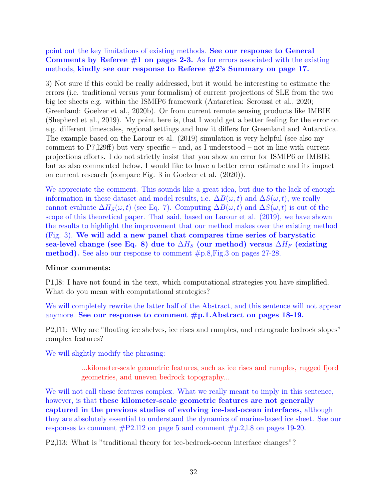point out the key limitations of existing methods. See our response to General Comments by Referee  $#1$  on pages 2-3. As for errors associated with the existing methods, kindly see our response to Referee #2's Summary on page 17.

3) Not sure if this could be really addressed, but it would be interesting to estimate the errors (i.e. traditional versus your formalism) of current projections of SLE from the two big ice sheets e.g. within the ISMIP6 framework (Antarctica: Seroussi et al., 2020; Greenland: Goelzer et al., 2020b). Or from current remote sensing products like IMBIE (Shepherd et al., 2019). My point here is, that I would get a better feeling for the error on e.g. different timescales, regional settings and how it differs for Greenland and Antarctica. The example based on the Larour et al. (2019) simulation is very helpful (see also my comment to  $P7,129ff$ ) but very specific – and, as I understood – not in line with current projections efforts. I do not strictly insist that you show an error for ISMIP6 or IMBIE, but as also commented below, I would like to have a better error estimate and its impact on current research (compare Fig. 3 in Goelzer et al. (2020)).

We appreciate the comment. This sounds like a great idea, but due to the lack of enough information in these dataset and model results, i.e.  $\Delta B(\omega, t)$  and  $\Delta S(\omega, t)$ , we really cannot evaluate  $\Delta H_S(\omega, t)$  (see Eq. 7). Computing  $\Delta B(\omega, t)$  and  $\Delta S(\omega, t)$  is out of the scope of this theoretical paper. That said, based on Larour et al. (2019), we have shown the results to highlight the improvement that our method makes over the existing method (Fig. 3). We will add a new panel that compares time series of barystatic sea-level change (see Eq. 8) due to  $\Delta H_S$  (our method) versus  $\Delta H_F$  (existing method). See also our response to comment #p.8,Fig.3 on pages 27-28.

## Minor comments:

P1,l8: I have not found in the text, which computational strategies you have simplified. What do you mean with computational strategies?

We will completely rewrite the latter half of the Abstract, and this sentence will not appear anymore. See our response to comment #p.1.Abstract on pages 18-19.

P2,l11: Why are "floating ice shelves, ice rises and rumples, and retrograde bedrock slopes" complex features?

We will slightly modify the phrasing:

...kilometer-scale geometric features, such as ice rises and rumples, rugged fjord geometries, and uneven bedrock topography...

We will not call these features complex. What we really meant to imply in this sentence, however, is that these kilometer-scale geometric features are not generally captured in the previous studies of evolving ice-bed-ocean interfaces, although they are absolutely essential to understand the dynamics of marine-based ice sheet. See our responses to comment #P2.l12 on page 5 and comment #p.2,l.8 on pages 19-20.

P2,l13: What is "traditional theory for ice-bedrock-ocean interface changes"?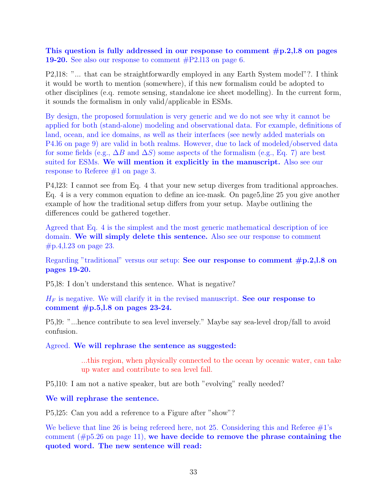This question is fully addressed in our response to comment  $#p.2, l.8$  on pages 19-20. See also our response to comment #P2.l13 on page 6.

P2,l18: "... that can be straightforwardly employed in any Earth System model"?. I think it would be worth to mention (somewhere), if this new formalism could be adopted to other disciplines (e.q. remote sensing, standalone ice sheet modelling). In the current form, it sounds the formalism in only valid/applicable in ESMs.

By design, the proposed formulation is very generic and we do not see why it cannot be applied for both (stand-alone) modeling and observational data. For example, definitions of land, ocean, and ice domains, as well as their interfaces (see newly added materials on P4.l6 on page 9) are valid in both realms. However, due to lack of modeled/observed data for some fields (e.g.,  $\Delta B$  and  $\Delta S$ ) some aspects of the formalism (e.g., Eq. 7) are best suited for ESMs. We will mention it explicitly in the manuscript. Also see our response to Referee #1 on page 3.

P4,l23: I cannot see from Eq. 4 that your new setup diverges from traditional approaches. Eq. 4 is a very common equation to define an ice-mask. On page5,line 25 you give another example of how the traditional setup differs from your setup. Maybe outlining the differences could be gathered together.

Agreed that Eq. 4 is the simplest and the most generic mathematical description of ice domain. We will simply delete this sentence. Also see our response to comment #p.4,l.23 on page 23.

Regarding "traditional" versus our setup: See our response to comment  $\#p.2, l.8$  on pages 19-20.

P5,l8: I don't understand this sentence. What is negative?

 $H_F$  is negative. We will clarify it in the revised manuscript. See our response to comment  $\#p.5$ , l.8 on pages 23-24.

P5,l9: "...hence contribute to sea level inversely." Maybe say sea-level drop/fall to avoid confusion.

Agreed. We will rephrase the sentence as suggested:

...this region, when physically connected to the ocean by oceanic water, can take up water and contribute to sea level fall.

P5,l10: I am not a native speaker, but are both "evolving" really needed?

We will rephrase the sentence.

P5,l25: Can you add a reference to a Figure after "show"?

We believe that line 26 is being refereed here, not 25. Considering this and Referee  $#1$ 's comment  $(\text{\#p5.26 on page 11})$ , we have decide to remove the phrase containing the quoted word. The new sentence will read: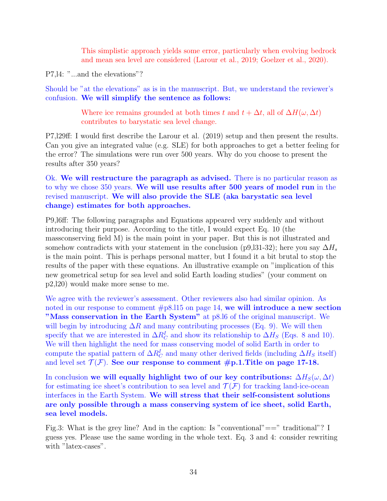This simplistic approach yields some error, particularly when evolving bedrock and mean sea level are considered (Larour et al., 2019; Goelzer et al., 2020).

P7,l4: "...and the elevations"?

Should be "at the elevations" as is in the manuscript. But, we understand the reviewer's confusion. We will simplify the sentence as follows:

> Where ice remains grounded at both times t and  $t + \Delta t$ , all of  $\Delta H(\omega, \Delta t)$ contributes to barystatic sea level change.

P7,l29ff: I would first describe the Larour et al. (2019) setup and then present the results. Can you give an integrated value (e.g. SLE) for both approaches to get a better feeling for the error? The simulations were run over 500 years. Why do you choose to present the results after 350 years?

Ok. We will restructure the paragraph as advised. There is no particular reason as to why we chose 350 years. We will use results after 500 years of model run in the revised manuscript. We will also provide the SLE (aka barystatic sea level change) estimates for both approaches.

P9,l6ff: The following paragraphs and Equations appeared very suddenly and without introducing their purpose. According to the title, I would expect Eq. 10 (the massconserving field M) is the main point in your paper. But this is not illustrated and somehow contradicts with your statement in the conclusion (p9,  $\frac{31-32}{3}$ ); here you say  $\Delta H_s$ is the main point. This is perhaps personal matter, but I found it a bit brutal to stop the results of the paper with these equations. An illustrative example on "implication of this new geometrical setup for sea level and solid Earth loading studies" (your comment on p2,l20) would make more sense to me.

We agree with the reviewer's assessment. Other reviewers also had similar opinion. As noted in our response to comment  $\#p8.115$  on page 14, we will introduce a new section "Mass conservation in the Earth System" at p8.16 of the original manuscript. We will begin by introducing  $\Delta R$  and many contributing processes (Eq. 9). We will then specify that we are interested in  $\Delta R_C^I$  and show its relationship to  $\Delta H_S$  (Eqs. 8 and 10). We will then highlight the need for mass conserving model of solid Earth in order to compute the spatial pattern of  $\Delta R_C^I$  and many other derived fields (including  $\Delta H_S$  itself) and level set  $\mathcal{T}(\mathcal{F})$ . See our response to comment #p.1.Title on page 17-18.

In conclusion we will equally highlight two of our key contributions:  $\Delta H_S(\omega, \Delta t)$ for estimating ice sheet's contribution to sea level and  $\mathcal{T}(\mathcal{F})$  for tracking land-ice-ocean interfaces in the Earth System. We will stress that their self-consistent solutions are only possible through a mass conserving system of ice sheet, solid Earth, sea level models.

Fig.3: What is the grey line? And in the caption: Is "conventional" == " traditional"? I guess yes. Please use the same wording in the whole text. Eq. 3 and 4: consider rewriting with "latex-cases".